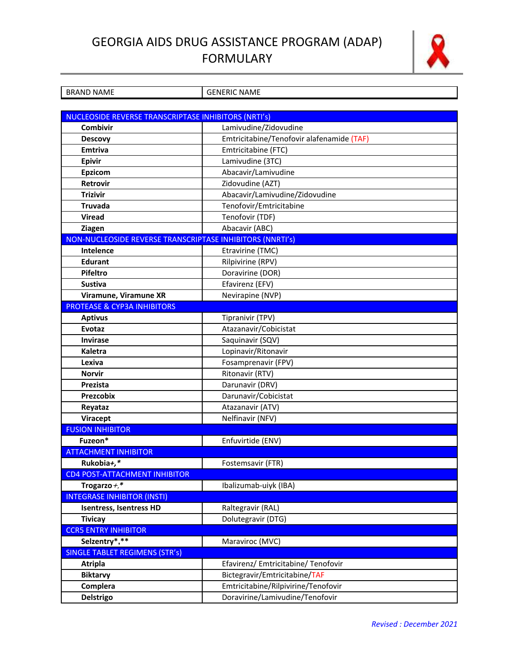## GEORGIA AIDS DRUG ASSISTANCE PROGRAM (ADAP) **FORMULARY**



| <b>BRAND NAME</b>                                         | <b>GENERIC NAME</b>                       |  |
|-----------------------------------------------------------|-------------------------------------------|--|
|                                                           |                                           |  |
| NUCLEOSIDE REVERSE TRANSCRIPTASE INHIBITORS (NRTI's)      |                                           |  |
| Combivir                                                  | Lamivudine/Zidovudine                     |  |
| <b>Descovy</b>                                            | Emtricitabine/Tenofovir alafenamide (TAF) |  |
| <b>Emtriva</b>                                            | Emtricitabine (FTC)                       |  |
| <b>Epivir</b>                                             | Lamivudine (3TC)                          |  |
| <b>Epzicom</b>                                            | Abacavir/Lamivudine                       |  |
| Retrovir                                                  | Zidovudine (AZT)                          |  |
| <b>Trizivir</b>                                           | Abacavir/Lamivudine/Zidovudine            |  |
| Truvada                                                   | Tenofovir/Emtricitabine                   |  |
| <b>Viread</b>                                             | Tenofovir (TDF)                           |  |
| Ziagen                                                    | Abacavir (ABC)                            |  |
| NON-NUCLEOSIDE REVERSE TRANSCRIPTASE INHIBITORS (NNRTI's) |                                           |  |
| Intelence                                                 | Etravirine (TMC)                          |  |
| <b>Edurant</b>                                            | Rilpivirine (RPV)                         |  |
| Pifeltro                                                  | Doravirine (DOR)                          |  |
| <b>Sustiva</b>                                            | Efavirenz (EFV)                           |  |
| Viramune, Viramune XR                                     | Nevirapine (NVP)                          |  |
| <b>PROTEASE &amp; CYP3A INHIBITORS</b>                    |                                           |  |
| <b>Aptivus</b>                                            | Tipranivir (TPV)                          |  |
| Evotaz                                                    | Atazanavir/Cobicistat                     |  |
| <b>Invirase</b>                                           | Saquinavir (SQV)                          |  |
| <b>Kaletra</b>                                            | Lopinavir/Ritonavir                       |  |
| Lexiva                                                    | Fosamprenavir (FPV)                       |  |
| <b>Norvir</b>                                             | Ritonavir (RTV)                           |  |
| Prezista                                                  | Darunavir (DRV)                           |  |
| Prezcobix                                                 | Darunavir/Cobicistat                      |  |
| Reyataz                                                   | Atazanavir (ATV)                          |  |
| Viracept                                                  | Nelfinavir (NFV)                          |  |
| <b>FUSION INHIBITOR</b>                                   |                                           |  |
| Fuzeon*                                                   | Enfuvirtide (ENV)                         |  |
| <b>ATTACHMENT INHIBITOR</b>                               |                                           |  |
| Rukobia+,*                                                | Fostemsavir (FTR)                         |  |
| <b>CD4 POST-ATTACHMENT INHIBITOR</b>                      |                                           |  |
| Trogarzo $+, *$                                           | Ibalizumab-uiyk (IBA)                     |  |
| <b>INTEGRASE INHIBITOR (INSTI)</b>                        |                                           |  |
| <b>Isentress, Isentress HD</b>                            | Raltegravir (RAL)                         |  |
| <b>Tivicay</b>                                            | Dolutegravir (DTG)                        |  |
| <b>CCR5 ENTRY INHIBITOR</b>                               |                                           |  |
| Selzentry*,**                                             | Maraviroc (MVC)                           |  |
| <b>SINGLE TABLET REGIMENS (STR'S)</b>                     |                                           |  |
| <b>Atripla</b>                                            | Efavirenz/ Emtricitabine/ Tenofovir       |  |
| <b>Biktarvy</b>                                           | Bictegravir/Emtricitabine/TAF             |  |
| Complera                                                  | Emtricitabine/Rilpivirine/Tenofovir       |  |
| <b>Delstrigo</b>                                          | Doravirine/Lamivudine/Tenofovir           |  |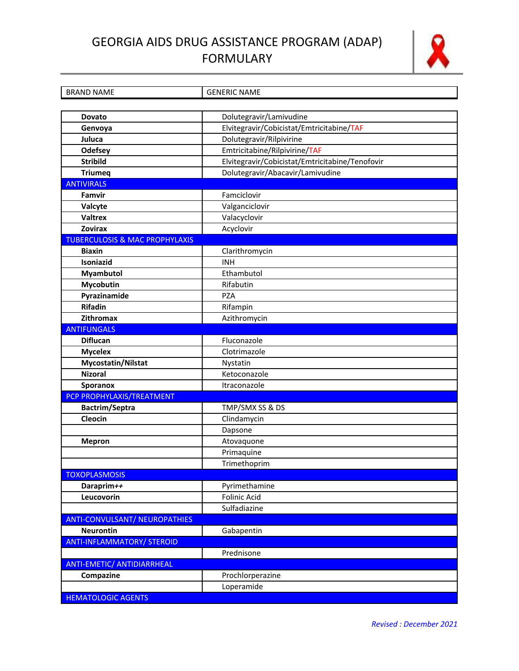## GEORGIA AIDS DRUG ASSISTANCE PROGRAM (ADAP) **FORMULARY**



| <b>BRAND NAME</b>                         | <b>GENERIC NAME</b>                             |  |
|-------------------------------------------|-------------------------------------------------|--|
|                                           |                                                 |  |
| Dovato                                    | Dolutegravir/Lamivudine                         |  |
| Genvoya                                   | Elvitegravir/Cobicistat/Emtricitabine/TAF       |  |
| Juluca                                    | Dolutegravir/Rilpivirine                        |  |
| <b>Odefsey</b>                            | Emtricitabine/Rilpivirine/TAF                   |  |
| <b>Stribild</b>                           | Elvitegravir/Cobicistat/Emtricitabine/Tenofovir |  |
| <b>Triumeq</b>                            | Dolutegravir/Abacavir/Lamivudine                |  |
| <b>ANTIVIRALS</b>                         |                                                 |  |
| Famvir                                    | Famciclovir                                     |  |
| Valcyte                                   | Valganciclovir                                  |  |
| <b>Valtrex</b>                            | Valacyclovir                                    |  |
| <b>Zovirax</b>                            | Acyclovir                                       |  |
| <b>TUBERCULOSIS &amp; MAC PROPHYLAXIS</b> |                                                 |  |
| <b>Biaxin</b>                             | Clarithromycin                                  |  |
| Isoniazid                                 | <b>INH</b>                                      |  |
| <b>Myambutol</b>                          | Ethambutol                                      |  |
| Mycobutin                                 | Rifabutin                                       |  |
| Pyrazinamide                              | <b>PZA</b>                                      |  |
| <b>Rifadin</b>                            | Rifampin                                        |  |
| <b>Zithromax</b>                          | Azithromycin                                    |  |
| <b>ANTIFUNGALS</b>                        |                                                 |  |
| <b>Diflucan</b>                           | Fluconazole                                     |  |
| <b>Mycelex</b>                            | Clotrimazole                                    |  |
| Mycostatin/Nilstat                        | Nystatin                                        |  |
| <b>Nizoral</b>                            | Ketoconazole                                    |  |
| Sporanox                                  | Itraconazole                                    |  |
| PCP PROPHYLAXIS/TREATMENT                 |                                                 |  |
| Bactrim/Septra                            | TMP/SMX SS & DS                                 |  |
| Cleocin                                   | Clindamycin                                     |  |
|                                           | Dapsone                                         |  |
| <b>Mepron</b>                             | Atovaquone                                      |  |
|                                           | Primaquine                                      |  |
|                                           | Trimethoprim                                    |  |
| <b>TOXOPLASMOSIS</b>                      |                                                 |  |
| Daraprim++                                | Pyrimethamine                                   |  |
| Leucovorin                                | Folinic Acid                                    |  |
|                                           | Sulfadiazine                                    |  |
| <b>ANTI-CONVULSANT/ NEUROPATHIES</b>      |                                                 |  |
| <b>Neurontin</b>                          | Gabapentin                                      |  |
| <b>ANTI-INFLAMMATORY/ STEROID</b>         |                                                 |  |
|                                           | Prednisone                                      |  |
| <b>ANTI-EMETIC/ ANTIDIARRHEAL</b>         |                                                 |  |
| Compazine                                 | Prochlorperazine                                |  |
|                                           | Loperamide                                      |  |
| <b>HEMATOLOGIC AGENTS</b>                 |                                                 |  |